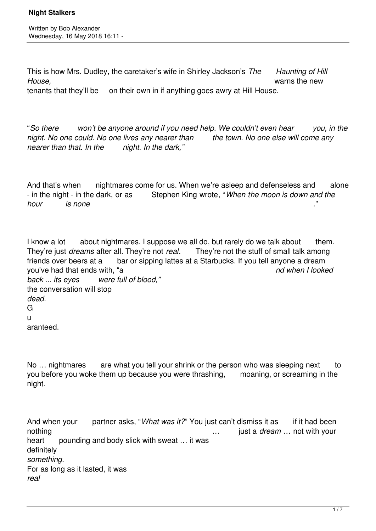This is how Mrs. Dudley, the caretaker's wife in Shirley Jackson's *The Haunting of Hill House,* warns the new tenants that they'll be on their own in if anything goes awry at Hill House.

"*So there won't be anyone around if you need help. We couldn't even hear you, in the night. No one could. No one lives any nearer than the town. No one else will come any nearer than that. In the night. In the dark,"*

And that's when inghtmares come for us. When we're asleep and defenseless and alone - in the night - in the dark, or as Stephen King wrote, "*When the moon is down and the hour is none* ."

I know a lot about nightmares. I suppose we all do, but rarely do we talk about them. They're just *dreams* after all. They're not *real*. They're not the stuff of small talk among friends over beers at a bar or sipping lattes at a Starbucks. If you tell anyone a dream you've had that ends with, "a *nd when I looked back ... its eyes were full of blood,"* the conversation will stop *dead.*  G u aranteed.

No ... nightmares are what you tell your shrink or the person who was sleeping next to you before you woke them up because you were thrashing, moaning, or screaming in the night.

And when your partner asks, "*What was it?*" You just can't dismiss it as if it had been nothing mothing method with your mothing with your mothing with your mothing with your mothing with your mothing that with your mothing with your mothing with your mothing with your mothing with your mothing with your moth heart pounding and body slick with sweat ... it was definitely *something.* For as long as it lasted, it was *real*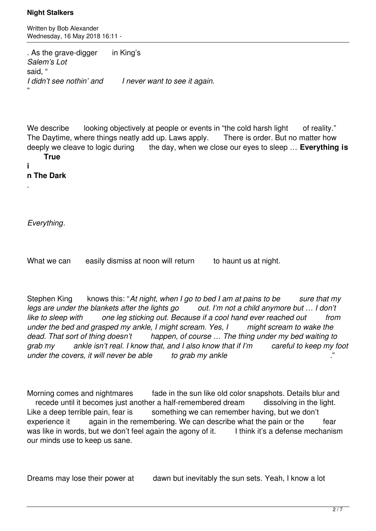Written by Bob Alexander Wednesday, 16 May 2018 16:11 -

. As the grave-digger in King's *Salem's Lot*  said, " *I didn't see nothin' and I never want to see it again.* "

We describe looking objectively at people or events in "the cold harsh light of reality." The Daytime, where things neatly add up. Laws apply. There is order. But no matter how deeply we cleave to logic during the day, when we close our eyes to sleep … **Everything is True** 

# **i**

.

**n The Dark**

*Everything*.

What we can easily dismiss at noon will return to haunt us at night.

Stephen King knows this: "At night, when I go to bed I am at pains to be sure that my *legs are under the blankets after the lights go* out. I'm not a child anymore but ... I don't *like to sleep with one leg sticking out. Because if a cool hand ever reached out from under the bed and grasped my ankle, I might scream. Yes, I might scream to wake the dead. That sort of thing doesn't happen, of course … The thing under my bed waiting to grab my ankle isn't real. I know that, and I also know that if I'm careful to keep my foot under the covers, it will never be able to grab my ankle* 

Morning comes and nightmares fade in the sun like old color snapshots. Details blur and recede until it becomes just another a half-remembered dream dissolving in the light. Like a deep terrible pain, fear is something we can remember having, but we don't experience it again in the remembering. We can describe what the pain or the fear was like in words, but we don't feel again the agony of it. I think it's a defense mechanism our minds use to keep us sane.

Dreams may lose their power at dawn but inevitably the sun sets. Yeah, I know a lot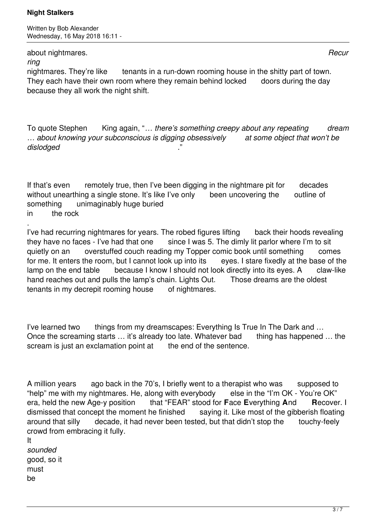Written by Bob Alexander Wednesday, 16 May 2018 16:11 -

about nightmares. *Recur*

*ring*

nightmares. They're like tenants in a run-down rooming house in the shitty part of town. They each have their own room where they remain behind locked doors during the day because they all work the night shift.

To quote Stephen King again, "*… there's something creepy about any repeating dream … about knowing your subconscious is digging obsessively at some object that won't be*  $di$ slodged

If that's even remotely true, then I've been digging in the nightmare pit for decades without unearthing a single stone. It's like I've only been uncovering the outline of something unimaginably huge buried in the rock

. I've had recurring nightmares for years. The robed figures lifting back their hoods revealing they have no faces - I've had that one since I was 5. The dimly lit parlor where I'm to sit quietly on an overstuffed couch reading my Topper comic book until something comes for me. It enters the room, but I cannot look up into its eves. I stare fixedly at the base of the lamp on the end table because I know I should not look directly into its eyes. A claw-like hand reaches out and pulls the lamp's chain. Lights Out. Those dreams are the oldest tenants in my decrepit rooming house of nightmares.

I've learned two things from my dreamscapes: Everything Is True In The Dark and … Once the screaming starts … it's already too late. Whatever bad thing has happened … the scream is just an exclamation point at the end of the sentence.

A million years ago back in the 70's, I briefly went to a therapist who was supposed to "help" me with my nightmares. He, along with everybody else in the "I'm OK - You're OK" era, held the new Age-y position that "FEAR" stood for **F**ace **E**verything **A**nd **R**ecover. I dismissed that concept the moment he finished saying it. Like most of the gibberish floating around that silly decade, it had never been tested, but that didn't stop the touchy-feely crowd from embracing it fully.

It *sounded* good, so it must be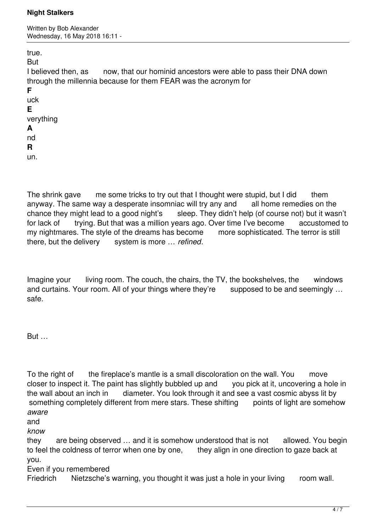Written by Bob Alexander Wednesday, 16 May 2018 16:11 -

true.

But

I believed then, as now, that our hominid ancestors were able to pass their DNA down through the millennia because for them FEAR was the acronym for

**F** uck **E** verything **A**

nd

**R**

un.

The shrink gave me some tricks to try out that I thought were stupid, but I did them anyway. The same way a desperate insomniac will try any and all home remedies on the chance they might lead to a good night's sleep. They didn't help (of course not) but it wasn't for lack of trying. But that was a million years ago. Over time I've become accustomed to my nightmares. The style of the dreams has become more sophisticated. The terror is still there, but the delivery system is more … *refined*.

Imagine your living room. The couch, the chairs, the TV, the bookshelves, the windows and curtains. Your room. All of your things where they're supposed to be and seemingly ... safe.

But …

To the right of the fireplace's mantle is a small discoloration on the wall. You move closer to inspect it. The paint has slightly bubbled up and you pick at it, uncovering a hole in the wall about an inch in diameter. You look through it and see a vast cosmic abyss lit by something completely different from mere stars. These shifting points of light are somehow *aware*

and

*know*

they are being observed … and it is somehow understood that is not allowed. You begin to feel the coldness of terror when one by one, they align in one direction to gaze back at you.

Even if you remembered

Friedrich Nietzsche's warning, you thought it was just a hole in your living room wall.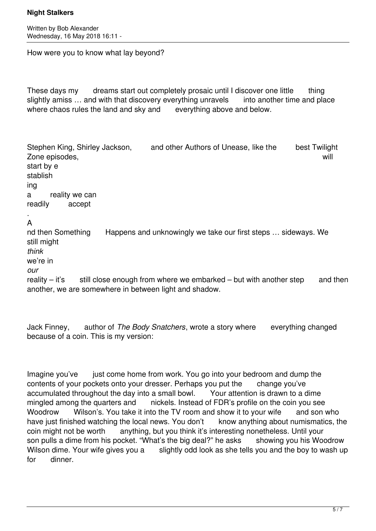Written by Bob Alexander Wednesday, 16 May 2018 16:11 -

How were you to know what lay beyond?

These days my dreams start out completely prosaic until I discover one little thing slightly amiss ... and with that discovery everything unravels into another time and place where chaos rules the land and sky and everything above and below.

Stephen King, Shirley Jackson, and other Authors of Unease, like the best Twilight Zone episodes, will start by e stablish ing a reality we can readily accept . A nd then Something Happens and unknowingly we take our first steps … sideways. We still might *think* we're in *our* reality – it's still close enough from where we embarked – but with another step and then

another, we are somewhere in between light and shadow.

Jack Finney, author of *The Body Snatchers*, wrote a story where everything changed because of a coin. This is my version:

Imagine you've just come home from work. You go into your bedroom and dump the contents of your pockets onto your dresser. Perhaps you put the change you've accumulated throughout the day into a small bowl. Your attention is drawn to a dime mingled among the quarters and nickels. Instead of FDR's profile on the coin you see Woodrow Wilson's. You take it into the TV room and show it to your wife and son who have just finished watching the local news. You don't know anything about numismatics, the coin might not be worth anything, but you think it's interesting nonetheless. Until your son pulls a dime from his pocket. "What's the big deal?" he asks showing you his Woodrow Wilson dime. Your wife gives you a slightly odd look as she tells you and the boy to wash up for dinner.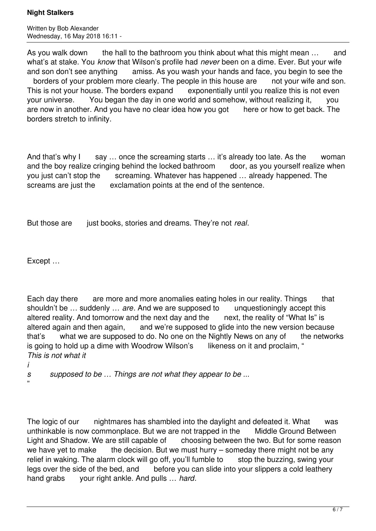Written by Bob Alexander Wednesday, 16 May 2018 16:11 -

As you walk down the hall to the bathroom you think about what this might mean ... and what's at stake. You *know* that Wilson's profile had *never* been on a dime. Ever. But your wife and son don't see anything amiss. As you wash your hands and face, you begin to see the borders of your problem more clearly. The people in this house are not your wife and son. This is not your house. The borders expand exponentially until you realize this is not even your universe. You began the day in one world and somehow, without realizing it, you are now in another. And you have no clear idea how you got here or how to get back. The borders stretch to infinity.

And that's why I say ... once the screaming starts ... it's already too late. As the woman and the boy realize cringing behind the locked bathroom door, as you yourself realize when you just can't stop the screaming. Whatever has happened ... already happened. The screams are just the exclamation points at the end of the sentence.

But those are just books, stories and dreams. They're not *real*.

Except …

Each day there are more and more anomalies eating holes in our reality. Things that shouldn't be … suddenly … *are*. And we are supposed to unquestioningly accept this altered reality. And tomorrow and the next day and the next, the reality of "What Is" is altered again and then again, and we're supposed to glide into the new version because that's what we are supposed to do. No one on the Nightly News on any of the networks is going to hold up a dime with Woodrow Wilson's likeness on it and proclaim, " *This is not what it* 

*i*

"

*s supposed to be … Things are not what they appear to be ...*

The logic of our inghtmares has shambled into the daylight and defeated it. What was unthinkable is now commonplace. But we are not trapped in the Middle Ground Between Light and Shadow. We are still capable of choosing between the two. But for some reason we have yet to make the decision. But we must hurry – someday there might not be any relief in waking. The alarm clock will go off, you'll fumble to stop the buzzing, swing your legs over the side of the bed, and before you can slide into your slippers a cold leathery hand grabs your right ankle. And pulls … *hard*.